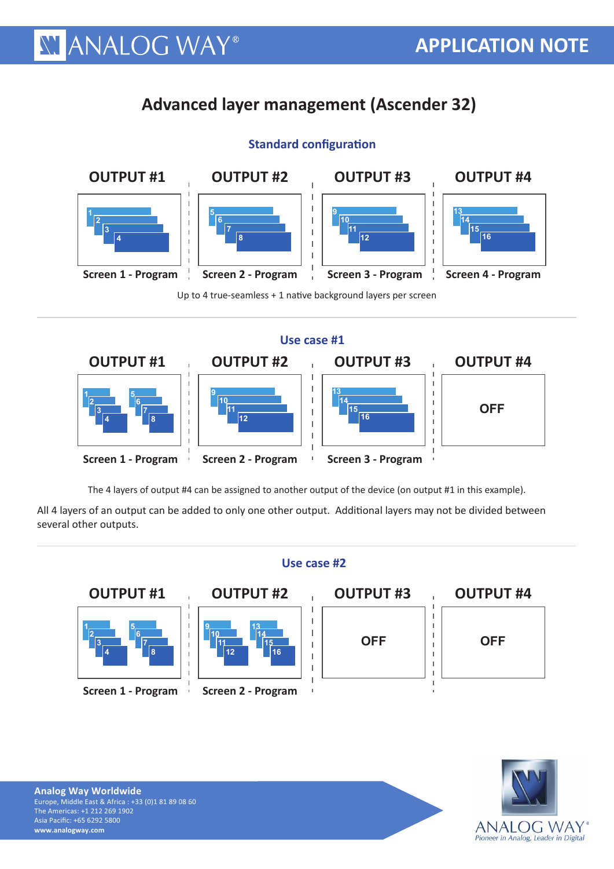## **Advanced layer management (Ascender 32)**





 **11** Up to 4 true-seamless + 1 native background layers per screen



The 4 layers of output #4 can be assigned to another output of the device (on output #1 in this example).

All 4 layers of an output can be added to only one other output. Additional layers may not be divided between several other outputs.





**XY ANALOG WAY®** 

## **Use case #1**